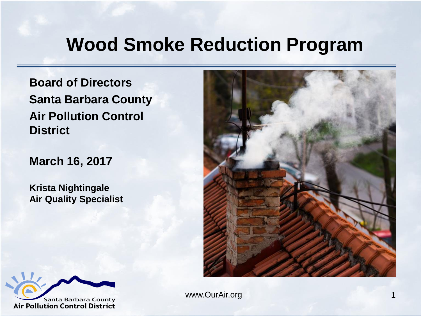#### **Wood Smoke Reduction Program**

**Board of Directors Santa Barbara County Air Pollution Control District**

**March 16, 2017**

**Krista Nightingale Air Quality Specialist**



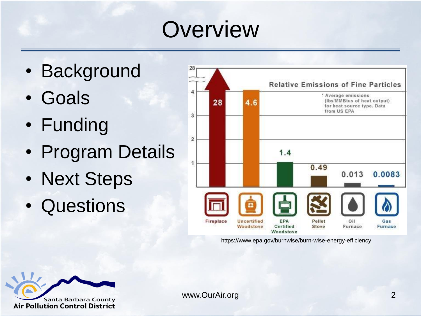#### **Overview**

- Background
- Goals
- Funding
- Program Details
- Next Steps
- Questions



https://www.epa.gov/burnwise/burn-wise-energy-efficiency

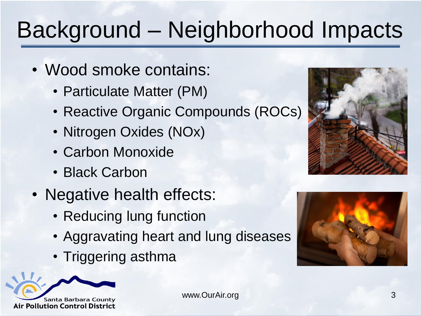# Background – Neighborhood Impacts

- Wood smoke contains:
	- Particulate Matter (PM)
	- Reactive Organic Compounds (ROCs)
	- Nitrogen Oxides (NOx)
	- Carbon Monoxide
	- Black Carbon
- Negative health effects:
	- Reducing lung function
	- Aggravating heart and lung diseases
	- Triggering asthma





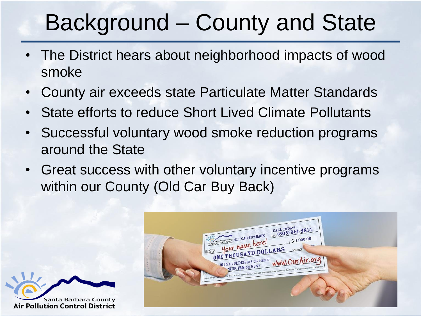## Background – County and State

- The District hears about neighborhood impacts of wood smoke
- County air exceeds state Particulate Matter Standards
- State efforts to reduce Short Lived Climate Pollutants
- Successful voluntary wood smoke reduction programs around the State
- Great success with other voluntary incentive programs within our County (Old Car Buy Back)



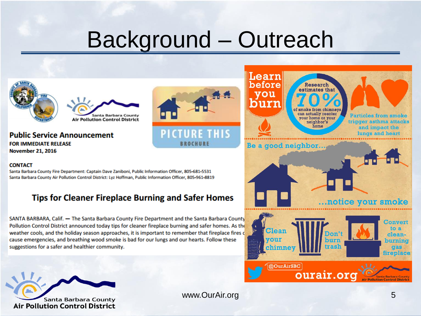#### Background – Outreach



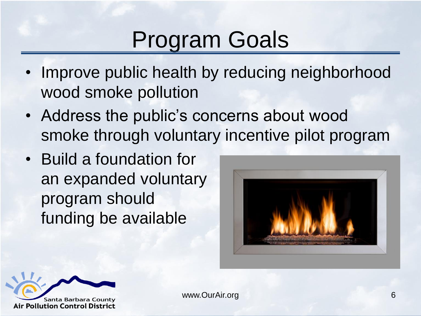## Program Goals

- Improve public health by reducing neighborhood wood smoke pollution
- Address the public's concerns about wood smoke through voluntary incentive pilot program
- Build a foundation for an expanded voluntary program should funding be available



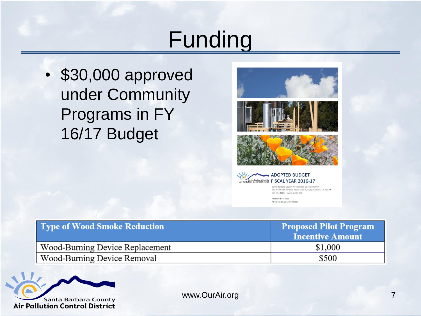#### Funding

• \$30,000 approved under Community Programs in FY 16/17 Budget





Santa Barbara County Air Pollution Control District 260 North San Antonio Road, Suite A, Santa Barbara, CA 93110 805-961-8800 · www.ourair.org

Aeron Arlin Genet Air Pollution Control Officer

| Type of Wood Smoke Reduction    | <b>Proposed Pilot Program</b><br><b>Incentive Amount</b> |
|---------------------------------|----------------------------------------------------------|
| Wood-Burning Device Replacement | \$1,000                                                  |
| Wood-Burning Device Removal     | \$500                                                    |

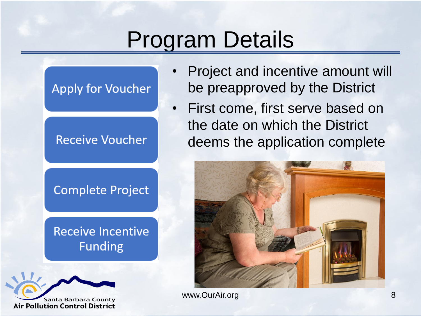## Program Details

#### **Apply for Voucher**

**Receive Voucher** 

**Complete Project** 

**Receive Incentive Funding** 



- Project and incentive amount will be preapproved by the District
- First come, first serve based on the date on which the District deems the application complete

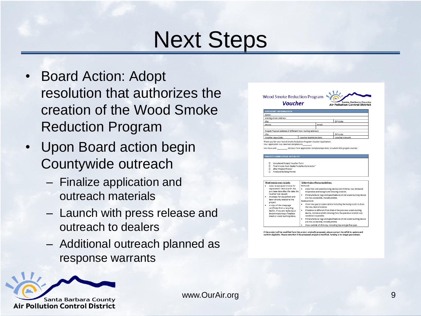#### Next Steps

- Board Action: Adopt resolution that authorizes the creation of the Wood Smoke Reduction Program
- Upon Board action begin Countywide outreach
	- Finalize application and outreach materials
	- Launch with press release and outreach to dealers
	- Additional outreach planned as response warrants

| Voucher                                                                                                                    |                                               | <b>Air Pollution Control District</b>                              |
|----------------------------------------------------------------------------------------------------------------------------|-----------------------------------------------|--------------------------------------------------------------------|
| <b>APPLICANT INFORMATION</b>                                                                                               |                                               |                                                                    |
| Name:                                                                                                                      |                                               |                                                                    |
| Mailing Street Address:                                                                                                    |                                               |                                                                    |
| City:                                                                                                                      |                                               | ZIP Code:                                                          |
| Phone:                                                                                                                     | Email:                                        |                                                                    |
| Project Physical Address (if different from mailing address):                                                              |                                               |                                                                    |
| City:                                                                                                                      |                                               | ZIP Code:                                                          |
| Voucher Issue Date:                                                                                                        | Voucher Expiration Date:                      | Voucher Amount:                                                    |
| <b>PROJECT COMPLETION CHECKLIST</b><br>C Completed Project Voucher Form<br>Final Invoice from Dealer/Installer/Contractor1 |                                               |                                                                    |
| After-Project Photos <sup>2</sup><br>C Finalized Building Permit                                                           |                                               |                                                                    |
|                                                                                                                            |                                               |                                                                    |
| <sup>1</sup> Final Invoice must include:                                                                                   | <sup>2</sup> After-Project Photos Guidelines: |                                                                    |
| Sales receipt/paid invoice for                                                                                             | Removal:                                      |                                                                    |
| replacement device (with the<br>purchase date after the date the                                                           |                                               | Show how old wood-burning device and chimney was rendered          |
| voucher was issued).                                                                                                       | inoperable and background showing location.   | If manufacturer tags and specifications of old wood-burning device |
| Invoice(s) for equipment and<br>labor directly related to the                                                              | are now accessible, include photos.           |                                                                    |
| project.                                                                                                                   | Replacement:<br>٠                             |                                                                    |
| A copy of the scrappage                                                                                                    | the new device location.                      | Show new gas/propane device including the background to show       |
| certificate from a recycling<br>facility, if you are replacing or                                                          |                                               | If location is different from that of the previous wood-burning    |
| decommissioning a fireplace                                                                                                |                                               | device, include a photo showing how the previous location was      |
| insert or wood burning stove.                                                                                              | rendered inoperable.<br>٠                     |                                                                    |
|                                                                                                                            | are now accessible, include photos.           | If manufacturer tags and specifications of old wood burning device |

f the project will be modified from the project originally proposed, please contact the APCD to update and onfirm eligibility. Please note that if the proposed project is modified. funding is no longer guaranteed.